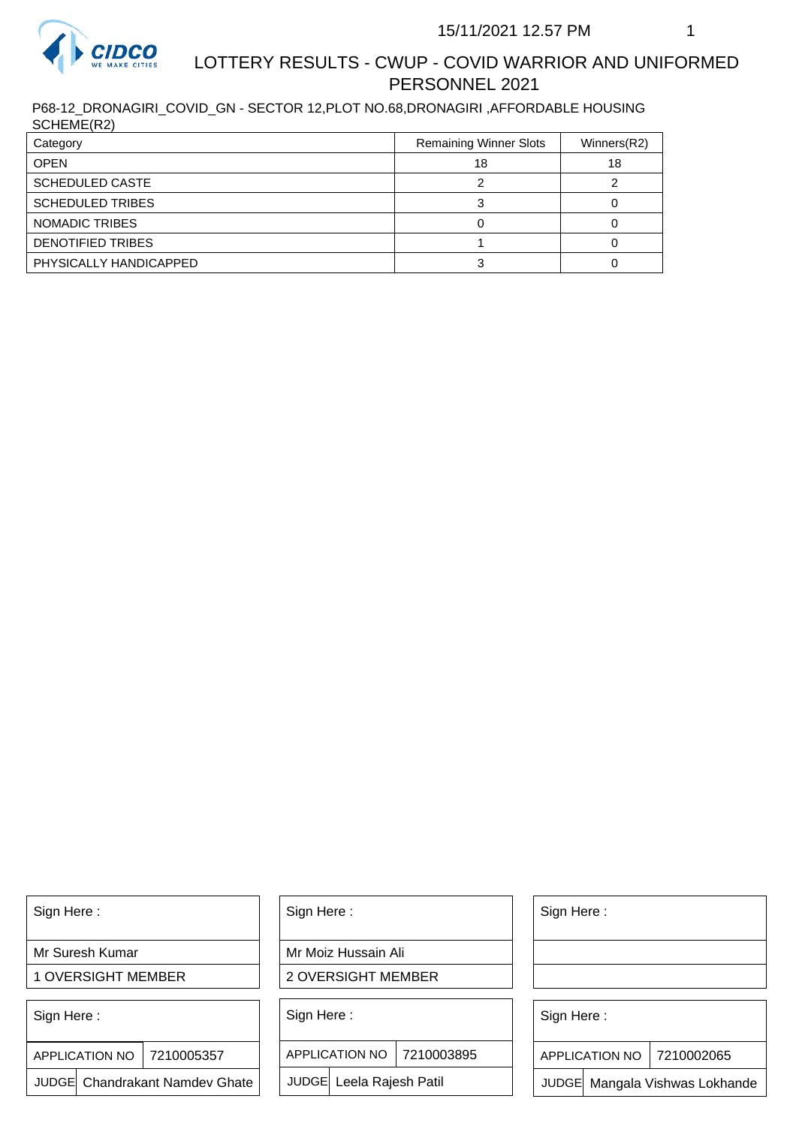

## LOTTERY RESULTS - CWUP - COVID WARRIOR AND UNIFORMED PERSONNEL 2021

P68-12\_DRONAGIRI\_COVID\_GN - SECTOR 12,PLOT NO.68,DRONAGIRI ,AFFORDABLE HOUSING SCHEME(R2)

| Category                 | <b>Remaining Winner Slots</b> | Winners(R2) |
|--------------------------|-------------------------------|-------------|
| <b>OPEN</b>              | 18                            | 18          |
| <b>SCHEDULED CASTE</b>   |                               |             |
| <b>SCHEDULED TRIBES</b>  |                               |             |
| NOMADIC TRIBES           |                               |             |
| <b>DENOTIFIED TRIBES</b> |                               |             |
| PHYSICALLY HANDICAPPED   |                               |             |

Sign Here :

Mr Suresh Kumar

1 OVERSIGHT MEMBER

Sign Here :

7210005357 APPLICATION NO

JUDGE Chandrakant Namdev Ghate

Sign Here :

Mr Moiz Hussain Ali

2 OVERSIGHT MEMBER

Sign Here :

APPLICATION NO 7210003895

JUDGE Leela Rajesh Patil

Sign Here :

Sign Here :

APPLICATION NO | 7210002065

Chandrakant Namdev Ghate  $|\quad|$  JUDGE Leela Rajesh Patil  $|\quad|$  JUDGE Mangala Vishwas Lokhande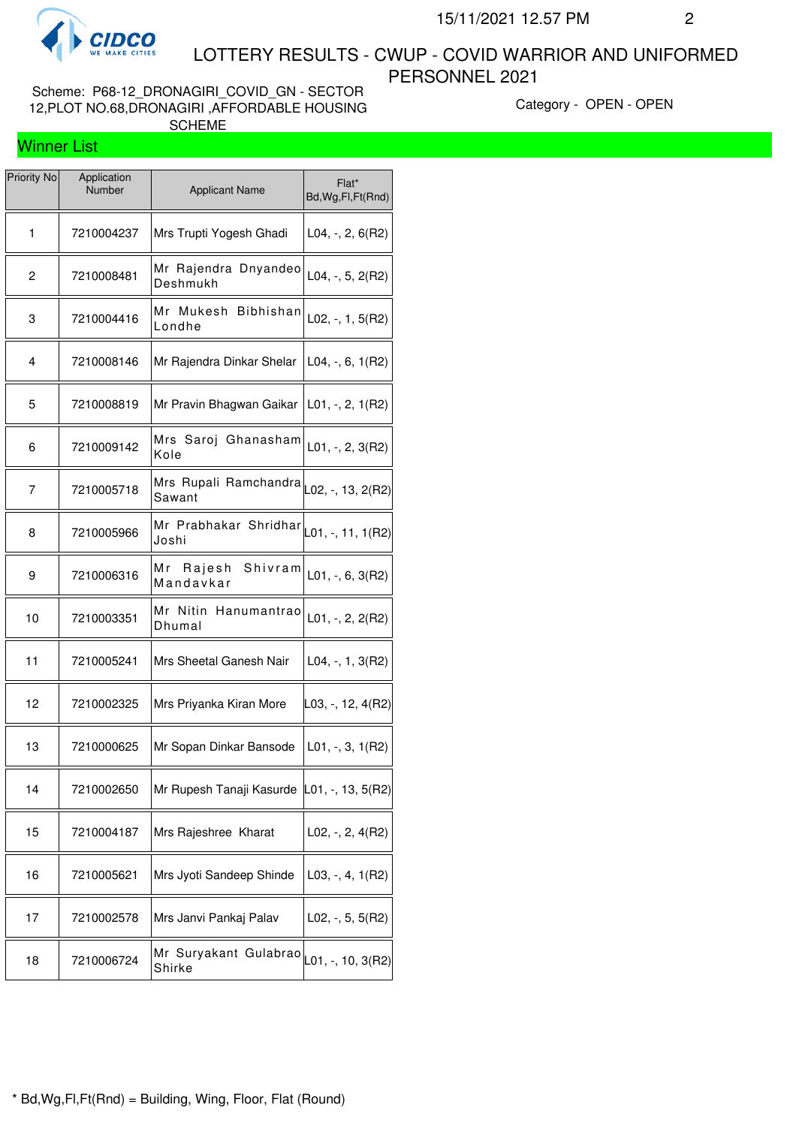

 LOTTERY RESULTS - CWUP - COVID WARRIOR AND UNIFORMED PERSONNEL 2021

Scheme: P68-12\_DRONAGIRI\_COVID\_GN - SECTOR 12,PLOT NO.68,DRONAGIRI ,AFFORDABLE HOUSING SCHEME

Category - OPEN - OPEN

## Winner List

| <b>Priority No</b> | Application<br>Number | <b>Applicant Name</b>                                             | Flat*<br>Bd, Wg, Fl, Ft (Rnd) |
|--------------------|-----------------------|-------------------------------------------------------------------|-------------------------------|
| 1                  | 7210004237            | Mrs Trupti Yogesh Ghadi                                           | $L04, -2, 6(R2)$              |
| $\overline{c}$     | 7210008481            | Mr Rajendra Dnyandeo<br>Deshmukh                                  | $L04, -, 5, 2(R2)$            |
| 3                  | 7210004416            | Mr Mukesh<br><b>Bibhishan</b><br>Londhe                           | $L02, -1, 5(R2)$              |
| 4                  | 7210008146            | Mr Rajendra Dinkar Shelar                                         | $L04, -, 6, 1(R2)$            |
| 5                  | 7210008819            | Mr Pravin Bhagwan Gaikar                                          | $L01, -2, 1(R2)$              |
| 6                  | 7210009142            | Mrs Saroj Ghanasham<br>Kole                                       | $L01, -2, 3(R2)$              |
| 7                  | 7210005718            | Mrs Rupali Ramchandra<br>Sawant                                   | L02, -, 13, 2(R2)             |
| 8                  | 7210005966            | Mr Prabhakar Shridhar $\vert_{\text{L01, -, 11, 1(R2)}}$<br>Joshi |                               |
| 9                  | 7210006316            | Rajesh<br>Mr<br>Shivram<br>Mandavkar                              | $L01, -, 6, 3(R2)$            |
| 10                 | 7210003351            | Mr Nitin Hanumantrao<br>Dhumal                                    | $L01, -2, 2(R2)$              |
| 11                 | 7210005241            | Mrs Sheetal Ganesh Nair                                           | $L04, -, 1, 3(R2)$            |
| 12                 | 7210002325            | Mrs Priyanka Kiran More                                           | $ L03, -, 12, 4(R2) $         |
| 13                 | 7210000625            | Mr Sopan Dinkar Bansode                                           | $L01, -3, 1(R2)$              |
| 14                 | 7210002650            | Mr Rupesh Tanaji Kasurde L01, -, 13, 5(R2)                        |                               |
| 15                 | 7210004187            | Mrs Rajeshree Kharat                                              | $L02, -, 2, 4(R2)$            |
| 16                 | 7210005621            | Mrs Jyoti Sandeep Shinde                                          | $L03, -, 4, 1(R2)$            |
| 17                 | 7210002578            | Mrs Janvi Pankaj Palav                                            | $L02, -, 5, 5(R2)$            |
| 18                 | 7210006724            | Mr Suryakant Gulabrao<br>Shirke                                   | $\vert$ L01, -, 10, 3(R2)     |